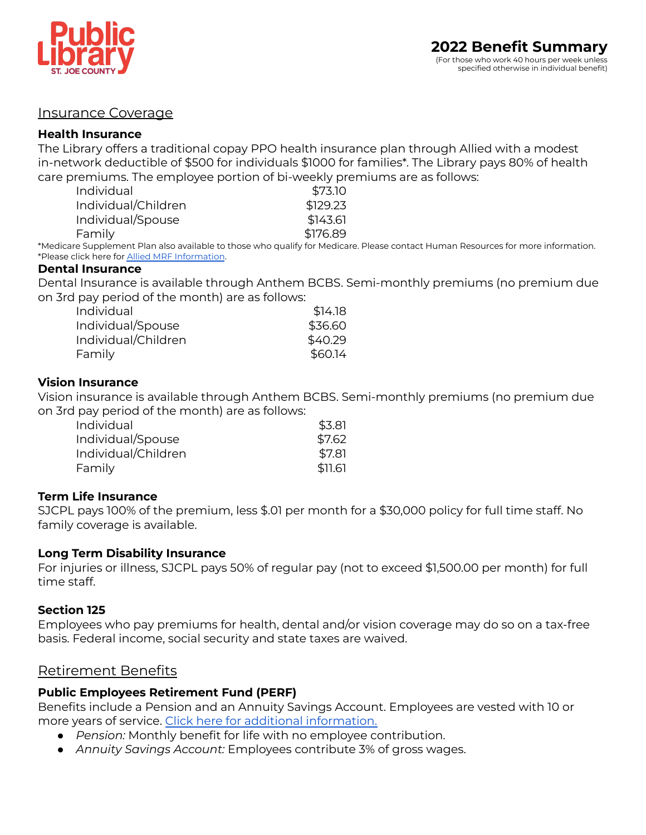

## Insurance Coverage

### **Health Insurance**

The Library offers a traditional copay PPO health insurance plan through Allied with a modest in-network deductible of \$500 for individuals \$1000 for families\*. The Library pays 80% of health care premiums. The employee portion of bi-weekly premiums are as follows:

| \$73.10  |
|----------|
| \$129.23 |
| \$143.61 |
| \$176.89 |
|          |

\*Medicare Supplement Plan also available to those who qualify for Medicare. Please contact Human Resources for more information. \*Please click here for Allied MRF [Information](http://alliedbenefit.sapphiremrfhub.com/).

#### **Dental Insurance**

Dental Insurance is available through Anthem BCBS. Semi-monthly premiums (no premium due on 3rd pay period of the month) are as follows:

| Individual          | \$14.18 |
|---------------------|---------|
| Individual/Spouse   | \$36.60 |
| Individual/Children | \$40.29 |
| Family              | \$60.14 |

### **Vision Insurance**

Vision insurance is available through Anthem BCBS. Semi-monthly premiums (no premium due on 3rd pay period of the month) are as follows:

| Individual          | \$3.81  |
|---------------------|---------|
| Individual/Spouse   | \$7.62  |
| Individual/Children | \$7.81  |
| Family              | \$11.61 |

### **Term Life Insurance**

SJCPL pays 100% of the premium, less \$.01 per month for a \$30,000 policy for full time staff. No family coverage is available.

### **Long Term Disability Insurance**

For injuries or illness, SJCPL pays 50% of regular pay (not to exceed \$1,500.00 per month) for full time staff.

### **Section 125**

Employees who pay premiums for health, dental and/or vision coverage may do so on a tax-free basis. Federal income, social security and state taxes are waived.

# Retirement Benefits

# **Public Employees Retirement Fund (PERF)**

Benefits include a Pension and an Annuity Savings Account. Employees are vested with 10 or more years of service. Click here for additional [information.](https://www.in.gov/inprs/files/PERF_at_a_Glance.pdf)

- *Pension:* Monthly benefit for life with no employee contribution.
- *Annuity Savings Account:* Employees contribute 3% of gross wages.